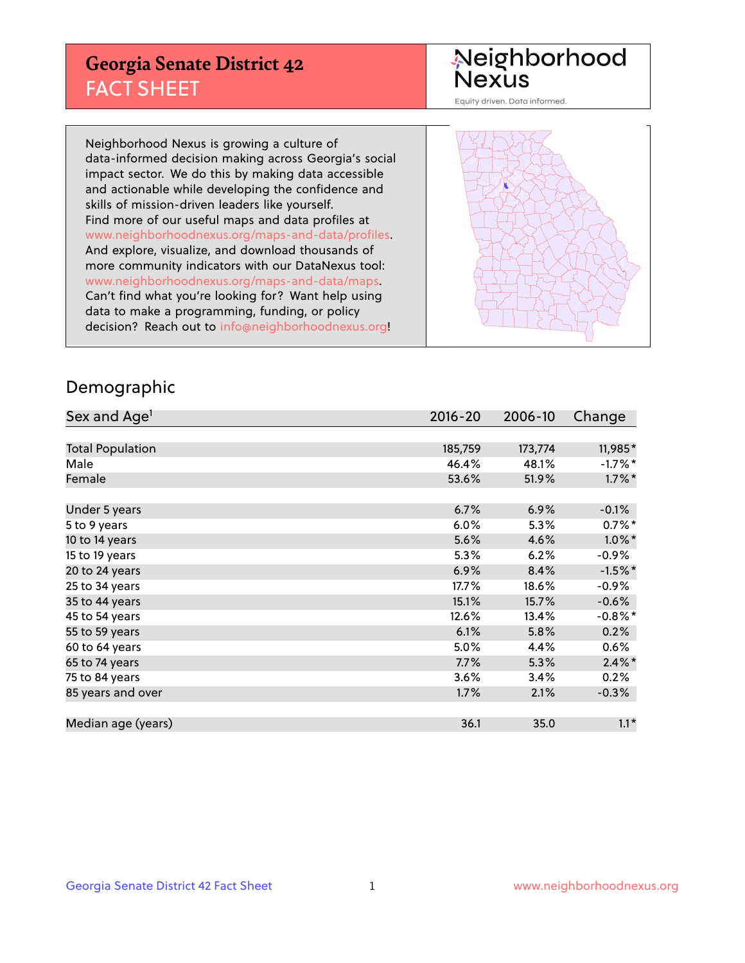## **Georgia Senate District 42** FACT SHEET

# Neighborhood<br>Nexus

Equity driven. Data informed.

Neighborhood Nexus is growing a culture of data-informed decision making across Georgia's social impact sector. We do this by making data accessible and actionable while developing the confidence and skills of mission-driven leaders like yourself. Find more of our useful maps and data profiles at www.neighborhoodnexus.org/maps-and-data/profiles. And explore, visualize, and download thousands of more community indicators with our DataNexus tool: www.neighborhoodnexus.org/maps-and-data/maps. Can't find what you're looking for? Want help using data to make a programming, funding, or policy decision? Reach out to [info@neighborhoodnexus.org!](mailto:info@neighborhoodnexus.org)



### Demographic

| Sex and Age <sup>1</sup> | $2016 - 20$ | 2006-10 | Change     |
|--------------------------|-------------|---------|------------|
|                          |             |         |            |
| <b>Total Population</b>  | 185,759     | 173,774 | 11,985*    |
| Male                     | 46.4%       | 48.1%   | $-1.7\%$ * |
| Female                   | 53.6%       | 51.9%   | $1.7\%$ *  |
|                          |             |         |            |
| Under 5 years            | 6.7%        | 6.9%    | $-0.1\%$   |
| 5 to 9 years             | $6.0\%$     | 5.3%    | $0.7\%$ *  |
| 10 to 14 years           | 5.6%        | 4.6%    | $1.0\%$ *  |
| 15 to 19 years           | 5.3%        | 6.2%    | $-0.9%$    |
| 20 to 24 years           | 6.9%        | 8.4%    | $-1.5%$ *  |
| 25 to 34 years           | 17.7%       | 18.6%   | $-0.9\%$   |
| 35 to 44 years           | 15.1%       | 15.7%   | $-0.6%$    |
| 45 to 54 years           | 12.6%       | 13.4%   | $-0.8\%$ * |
| 55 to 59 years           | 6.1%        | 5.8%    | 0.2%       |
| 60 to 64 years           | $5.0\%$     | 4.4%    | 0.6%       |
| 65 to 74 years           | 7.7%        | 5.3%    | $2.4\%$ *  |
| 75 to 84 years           | 3.6%        | 3.4%    | 0.2%       |
| 85 years and over        | 1.7%        | 2.1%    | $-0.3%$    |
|                          |             |         |            |
| Median age (years)       | 36.1        | 35.0    | $1.1*$     |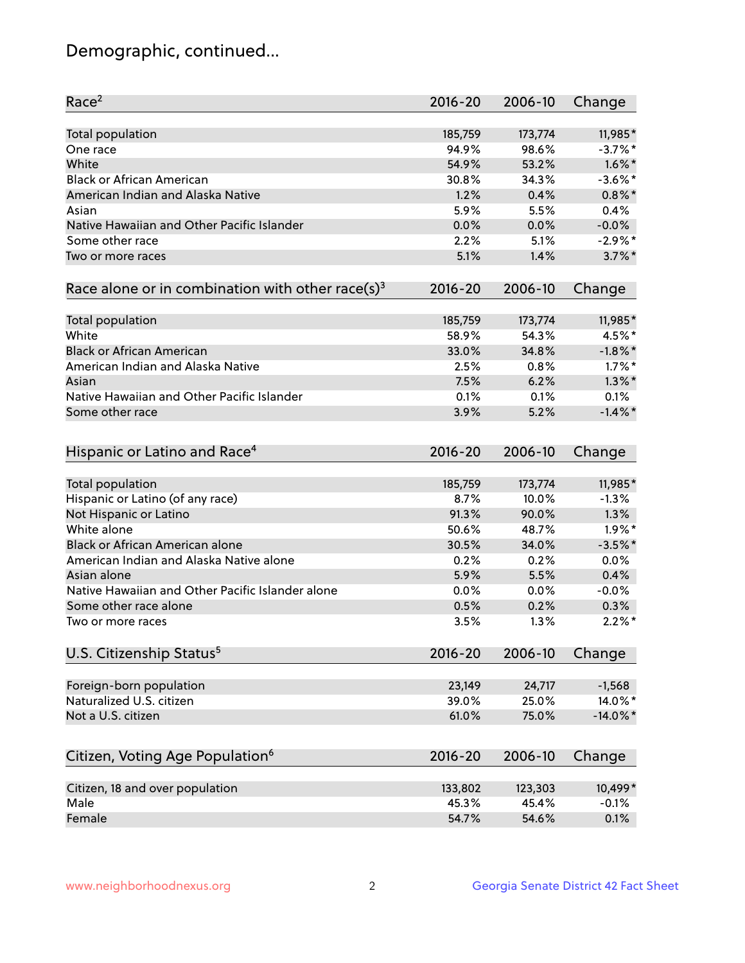## Demographic, continued...

| Race <sup>2</sup>                                            | $2016 - 20$ | 2006-10 | Change      |
|--------------------------------------------------------------|-------------|---------|-------------|
| <b>Total population</b>                                      | 185,759     | 173,774 | 11,985*     |
| One race                                                     | 94.9%       | 98.6%   | $-3.7%$ *   |
| White                                                        | 54.9%       | 53.2%   | $1.6\%$ *   |
| <b>Black or African American</b>                             | 30.8%       | 34.3%   | $-3.6\%$ *  |
| American Indian and Alaska Native                            | 1.2%        | 0.4%    | $0.8\%$ *   |
| Asian                                                        | 5.9%        | 5.5%    | 0.4%        |
| Native Hawaiian and Other Pacific Islander                   | 0.0%        | 0.0%    | $-0.0%$     |
| Some other race                                              | 2.2%        | 5.1%    | $-2.9\%$ *  |
| Two or more races                                            | 5.1%        | 1.4%    | $3.7\%$ *   |
| Race alone or in combination with other race(s) <sup>3</sup> | $2016 - 20$ | 2006-10 | Change      |
| Total population                                             | 185,759     | 173,774 | 11,985*     |
| White                                                        | 58.9%       | 54.3%   | 4.5%*       |
| <b>Black or African American</b>                             | 33.0%       | 34.8%   | $-1.8\%$ *  |
| American Indian and Alaska Native                            | 2.5%        | 0.8%    | $1.7\%$ *   |
| Asian                                                        | 7.5%        | 6.2%    | $1.3\%$ *   |
| Native Hawaiian and Other Pacific Islander                   | 0.1%        | 0.1%    | 0.1%        |
| Some other race                                              | 3.9%        | 5.2%    | $-1.4\%$ *  |
| Hispanic or Latino and Race <sup>4</sup>                     | $2016 - 20$ | 2006-10 | Change      |
| <b>Total population</b>                                      | 185,759     | 173,774 | 11,985*     |
| Hispanic or Latino (of any race)                             | 8.7%        | 10.0%   | $-1.3%$     |
| Not Hispanic or Latino                                       | 91.3%       | 90.0%   | 1.3%        |
| White alone                                                  | 50.6%       | 48.7%   | $1.9\%$ *   |
| <b>Black or African American alone</b>                       | 30.5%       | 34.0%   | $-3.5%$ *   |
| American Indian and Alaska Native alone                      | 0.2%        | 0.2%    | 0.0%        |
| Asian alone                                                  | 5.9%        | 5.5%    | 0.4%        |
| Native Hawaiian and Other Pacific Islander alone             | 0.0%        | 0.0%    | $-0.0%$     |
| Some other race alone                                        | 0.5%        | 0.2%    | 0.3%        |
| Two or more races                                            | 3.5%        | 1.3%    | $2.2\%$ *   |
| U.S. Citizenship Status <sup>5</sup>                         | $2016 - 20$ | 2006-10 | Change      |
| Foreign-born population                                      | 23,149      | 24,717  | $-1,568$    |
| Naturalized U.S. citizen                                     | 39.0%       | 25.0%   | 14.0%*      |
| Not a U.S. citizen                                           | 61.0%       | 75.0%   | $-14.0\%$ * |
|                                                              |             |         |             |
| Citizen, Voting Age Population <sup>6</sup>                  | $2016 - 20$ | 2006-10 | Change      |
| Citizen, 18 and over population                              | 133,802     | 123,303 | 10,499*     |
| Male                                                         | 45.3%       | 45.4%   | $-0.1%$     |
| Female                                                       | 54.7%       | 54.6%   | 0.1%        |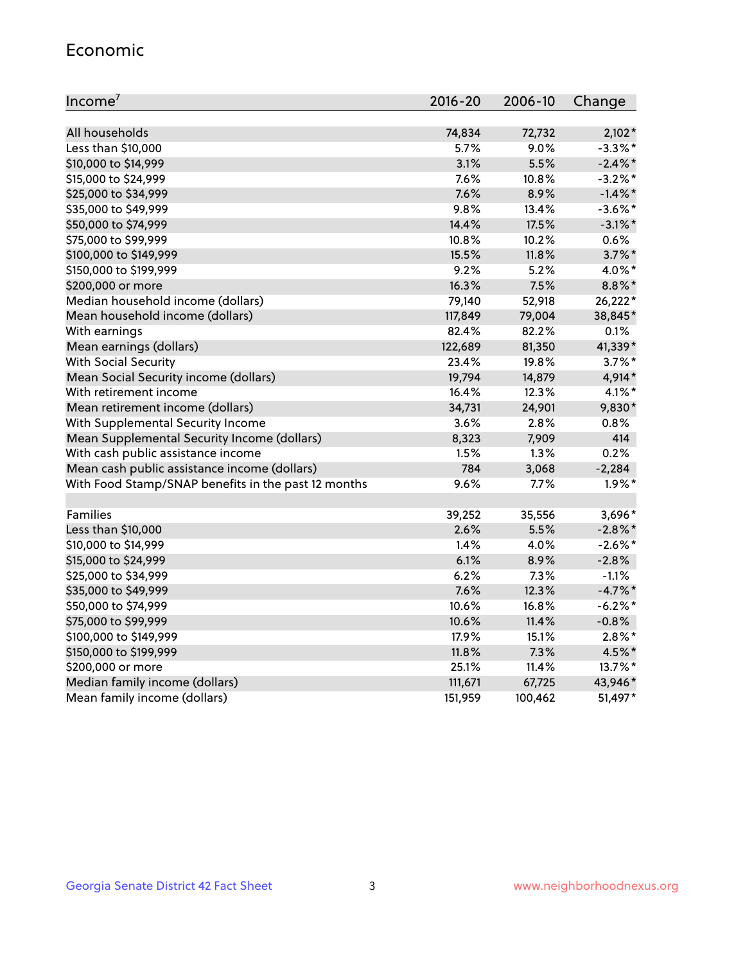#### Economic

| Income <sup>7</sup>                                 | 2016-20      | 2006-10 | Change     |
|-----------------------------------------------------|--------------|---------|------------|
|                                                     |              |         |            |
| All households                                      | 74,834       | 72,732  | $2,102*$   |
| Less than \$10,000                                  | 5.7%         | 9.0%    | $-3.3\%$ * |
| \$10,000 to \$14,999                                | 3.1%<br>7.6% | 5.5%    | $-2.4\%$ * |
| \$15,000 to \$24,999                                |              | 10.8%   | $-3.2%$ *  |
| \$25,000 to \$34,999                                | 7.6%         | 8.9%    | $-1.4\%$ * |
| \$35,000 to \$49,999                                | 9.8%         | 13.4%   | $-3.6\%$ * |
| \$50,000 to \$74,999                                | 14.4%        | 17.5%   | $-3.1\%$ * |
| \$75,000 to \$99,999                                | 10.8%        | 10.2%   | $0.6\%$    |
| \$100,000 to \$149,999                              | 15.5%        | 11.8%   | $3.7\%$ *  |
| \$150,000 to \$199,999                              | 9.2%         | 5.2%    | 4.0%*      |
| \$200,000 or more                                   | 16.3%        | 7.5%    | 8.8%*      |
| Median household income (dollars)                   | 79,140       | 52,918  | 26,222*    |
| Mean household income (dollars)                     | 117,849      | 79,004  | 38,845*    |
| With earnings                                       | 82.4%        | 82.2%   | 0.1%       |
| Mean earnings (dollars)                             | 122,689      | 81,350  | 41,339*    |
| <b>With Social Security</b>                         | 23.4%        | 19.8%   | $3.7\%$ *  |
| Mean Social Security income (dollars)               | 19,794       | 14,879  | 4,914*     |
| With retirement income                              | 16.4%        | 12.3%   | $4.1\%$ *  |
| Mean retirement income (dollars)                    | 34,731       | 24,901  | 9,830*     |
| With Supplemental Security Income                   | 3.6%         | 2.8%    | 0.8%       |
| Mean Supplemental Security Income (dollars)         | 8,323        | 7,909   | 414        |
| With cash public assistance income                  | 1.5%         | 1.3%    | 0.2%       |
| Mean cash public assistance income (dollars)        | 784          | 3,068   | $-2,284$   |
| With Food Stamp/SNAP benefits in the past 12 months | 9.6%         | 7.7%    | $1.9\%$ *  |
| Families                                            | 39,252       | 35,556  | 3,696*     |
| Less than \$10,000                                  | 2.6%         | 5.5%    | $-2.8\%$ * |
| \$10,000 to \$14,999                                | 1.4%         | 4.0%    | $-2.6%$ *  |
| \$15,000 to \$24,999                                | 6.1%         | 8.9%    | $-2.8%$    |
| \$25,000 to \$34,999                                | 6.2%         | 7.3%    | $-1.1%$    |
| \$35,000 to \$49,999                                | 7.6%         | 12.3%   | $-4.7\%$ * |
| \$50,000 to \$74,999                                | 10.6%        | 16.8%   | $-6.2%$ *  |
| \$75,000 to \$99,999                                | 10.6%        | 11.4%   | $-0.8%$    |
| \$100,000 to \$149,999                              | 17.9%        | 15.1%   | $2.8\%$ *  |
| \$150,000 to \$199,999                              | 11.8%        | 7.3%    | 4.5%*      |
| \$200,000 or more                                   | 25.1%        | 11.4%   | 13.7%*     |
| Median family income (dollars)                      | 111,671      | 67,725  | 43,946*    |
| Mean family income (dollars)                        | 151,959      | 100,462 | 51,497*    |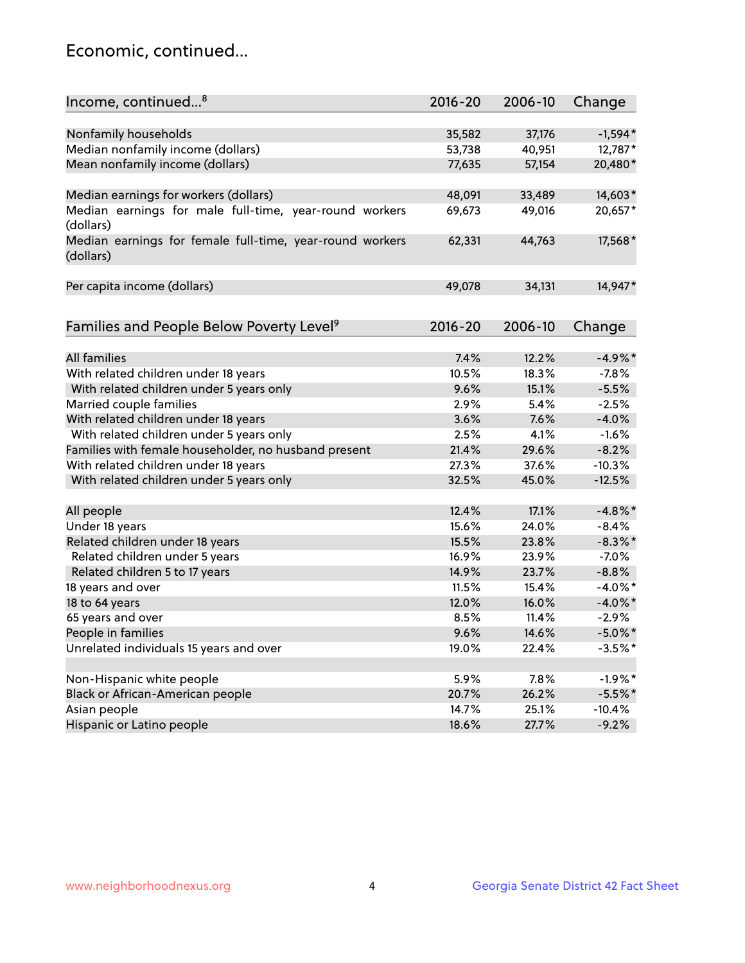## Economic, continued...

| Income, continued <sup>8</sup>                                        | $2016 - 20$ | 2006-10 | Change     |
|-----------------------------------------------------------------------|-------------|---------|------------|
|                                                                       |             |         |            |
| Nonfamily households                                                  | 35,582      | 37,176  | $-1,594*$  |
| Median nonfamily income (dollars)                                     | 53,738      | 40,951  | 12,787*    |
| Mean nonfamily income (dollars)                                       | 77,635      | 57,154  | 20,480*    |
|                                                                       |             |         |            |
| Median earnings for workers (dollars)                                 | 48,091      | 33,489  | 14,603*    |
| Median earnings for male full-time, year-round workers<br>(dollars)   | 69,673      | 49,016  | 20,657*    |
| Median earnings for female full-time, year-round workers<br>(dollars) | 62,331      | 44,763  | 17,568*    |
| Per capita income (dollars)                                           | 49,078      | 34,131  | 14,947*    |
|                                                                       |             |         |            |
| Families and People Below Poverty Level <sup>9</sup>                  | $2016 - 20$ | 2006-10 | Change     |
| <b>All families</b>                                                   | 7.4%        | 12.2%   | $-4.9%$ *  |
| With related children under 18 years                                  | 10.5%       | 18.3%   | $-7.8%$    |
| With related children under 5 years only                              | 9.6%        | 15.1%   | $-5.5%$    |
| Married couple families                                               | 2.9%        | 5.4%    | $-2.5%$    |
| With related children under 18 years                                  | 3.6%        | 7.6%    | $-4.0%$    |
| With related children under 5 years only                              | 2.5%        | 4.1%    | $-1.6%$    |
| Families with female householder, no husband present                  | 21.4%       | 29.6%   | $-8.2%$    |
| With related children under 18 years                                  | 27.3%       | 37.6%   | $-10.3%$   |
| With related children under 5 years only                              | 32.5%       | 45.0%   | $-12.5%$   |
|                                                                       |             |         |            |
| All people                                                            | 12.4%       | 17.1%   | $-4.8\%$ * |
| Under 18 years                                                        | 15.6%       | 24.0%   | $-8.4%$    |
| Related children under 18 years                                       | 15.5%       | 23.8%   | $-8.3\%$ * |
| Related children under 5 years                                        | 16.9%       | 23.9%   | $-7.0%$    |
| Related children 5 to 17 years                                        | 14.9%       | 23.7%   | $-8.8%$    |
| 18 years and over                                                     | 11.5%       | 15.4%   | $-4.0\%$ * |
| 18 to 64 years                                                        | 12.0%       | 16.0%   | $-4.0\%$ * |
| 65 years and over                                                     | 8.5%        | 11.4%   | $-2.9%$    |
| People in families                                                    | 9.6%        | 14.6%   | $-5.0\%$ * |
| Unrelated individuals 15 years and over                               | 19.0%       | 22.4%   | $-3.5%$ *  |
|                                                                       |             |         |            |
| Non-Hispanic white people                                             | 5.9%        | 7.8%    | $-1.9%$ *  |
| Black or African-American people                                      | 20.7%       | 26.2%   | $-5.5%$ *  |
| Asian people                                                          | 14.7%       | 25.1%   | $-10.4%$   |
| Hispanic or Latino people                                             | 18.6%       | 27.7%   | $-9.2%$    |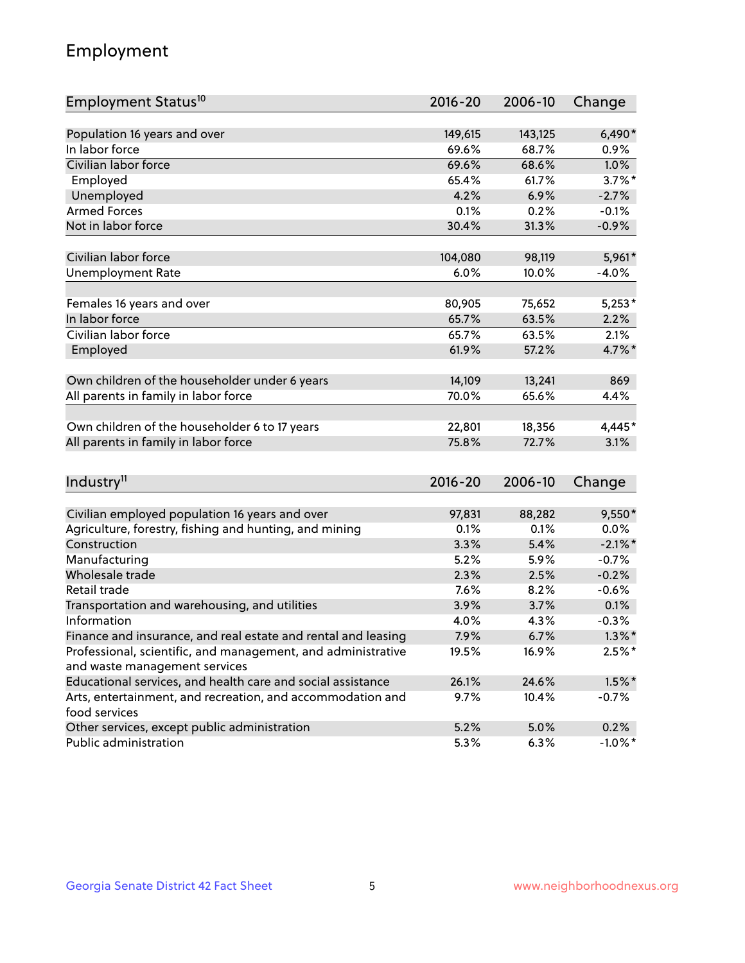## Employment

| Employment Status <sup>10</sup>                                                               | $2016 - 20$ | 2006-10 | Change     |
|-----------------------------------------------------------------------------------------------|-------------|---------|------------|
|                                                                                               |             |         |            |
| Population 16 years and over                                                                  | 149,615     | 143,125 | $6,490*$   |
| In labor force                                                                                | 69.6%       | 68.7%   | 0.9%       |
| Civilian labor force                                                                          | 69.6%       | 68.6%   | 1.0%       |
| Employed                                                                                      | 65.4%       | 61.7%   | $3.7\%$ *  |
| Unemployed                                                                                    | 4.2%        | 6.9%    | $-2.7%$    |
| <b>Armed Forces</b>                                                                           | 0.1%        | 0.2%    | $-0.1%$    |
| Not in labor force                                                                            | 30.4%       | 31.3%   | $-0.9%$    |
| Civilian labor force                                                                          | 104,080     | 98,119  | 5,961*     |
|                                                                                               |             |         | $-4.0%$    |
| <b>Unemployment Rate</b>                                                                      | 6.0%        | 10.0%   |            |
| Females 16 years and over                                                                     | 80,905      | 75,652  | $5,253*$   |
| In labor force                                                                                | 65.7%       | 63.5%   | 2.2%       |
| Civilian labor force                                                                          | 65.7%       | 63.5%   | 2.1%       |
| Employed                                                                                      | 61.9%       | 57.2%   | 4.7%*      |
|                                                                                               |             |         |            |
| Own children of the householder under 6 years                                                 | 14,109      | 13,241  | 869        |
| All parents in family in labor force                                                          | 70.0%       | 65.6%   | 4.4%       |
| Own children of the householder 6 to 17 years                                                 | 22,801      | 18,356  | 4,445*     |
| All parents in family in labor force                                                          | 75.8%       | 72.7%   | 3.1%       |
|                                                                                               |             |         |            |
| Industry <sup>11</sup>                                                                        | $2016 - 20$ | 2006-10 | Change     |
|                                                                                               |             |         |            |
| Civilian employed population 16 years and over                                                | 97,831      | 88,282  | $9,550*$   |
| Agriculture, forestry, fishing and hunting, and mining                                        | 0.1%        | 0.1%    | $0.0\%$    |
| Construction                                                                                  | 3.3%        | 5.4%    | $-2.1\%$ * |
| Manufacturing                                                                                 | 5.2%        | 5.9%    | $-0.7%$    |
| Wholesale trade                                                                               | 2.3%        | 2.5%    | $-0.2%$    |
| Retail trade                                                                                  | 7.6%        | 8.2%    | $-0.6%$    |
| Transportation and warehousing, and utilities                                                 | 3.9%        | 3.7%    | 0.1%       |
| Information                                                                                   | 4.0%        | 4.3%    | $-0.3%$    |
| Finance and insurance, and real estate and rental and leasing                                 | 7.9%        | 6.7%    | $1.3\%$ *  |
| Professional, scientific, and management, and administrative<br>and waste management services | 19.5%       | 16.9%   | $2.5%$ *   |
| Educational services, and health care and social assistance                                   | 26.1%       | 24.6%   | $1.5\%$ *  |
|                                                                                               |             |         |            |
| Arts, entertainment, and recreation, and accommodation and<br>food services                   | $9.7\%$     | 10.4%   | $-0.7\%$   |
| Other services, except public administration                                                  | 5.2%        | 5.0%    | 0.2%       |
| Public administration                                                                         | 5.3%        | 6.3%    | $-1.0\%$ * |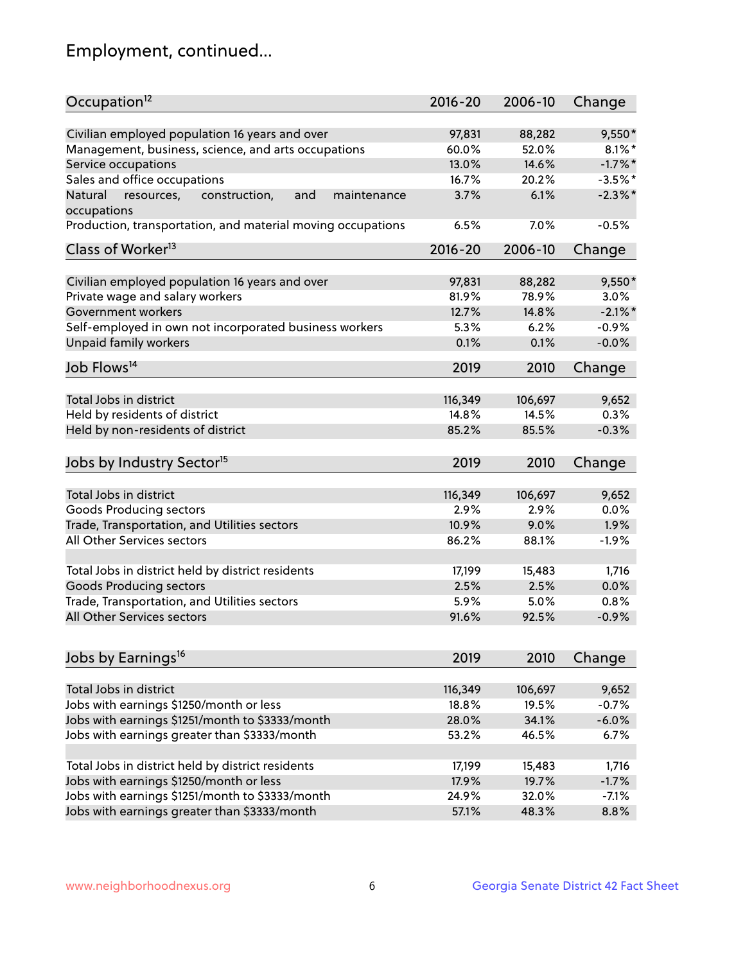## Employment, continued...

| Occupation <sup>12</sup>                                    | $2016 - 20$ | 2006-10 | Change     |
|-------------------------------------------------------------|-------------|---------|------------|
| Civilian employed population 16 years and over              | 97,831      | 88,282  | $9,550*$   |
| Management, business, science, and arts occupations         | 60.0%       | 52.0%   | $8.1\%$ *  |
| Service occupations                                         | 13.0%       | 14.6%   | $-1.7\%$ * |
| Sales and office occupations                                | 16.7%       | 20.2%   | $-3.5%$ *  |
| and<br>maintenance<br>Natural                               | 3.7%        | 6.1%    | $-2.3\%$ * |
| resources,<br>construction,<br>occupations                  |             |         |            |
| Production, transportation, and material moving occupations | 6.5%        | 7.0%    | $-0.5%$    |
| Class of Worker <sup>13</sup>                               | $2016 - 20$ | 2006-10 | Change     |
| Civilian employed population 16 years and over              | 97,831      | 88,282  | $9,550*$   |
| Private wage and salary workers                             | 81.9%       | 78.9%   | 3.0%       |
| Government workers                                          | 12.7%       | 14.8%   | $-2.1\%$ * |
|                                                             | 5.3%        | 6.2%    | $-0.9%$    |
| Self-employed in own not incorporated business workers      |             |         | $-0.0%$    |
| Unpaid family workers                                       | 0.1%        | 0.1%    |            |
| Job Flows <sup>14</sup>                                     | 2019        | 2010    | Change     |
|                                                             | 116,349     |         |            |
| Total Jobs in district                                      |             | 106,697 | 9,652      |
| Held by residents of district                               | 14.8%       | 14.5%   | 0.3%       |
| Held by non-residents of district                           | 85.2%       | 85.5%   | $-0.3%$    |
| Jobs by Industry Sector <sup>15</sup>                       | 2019        | 2010    | Change     |
| Total Jobs in district                                      | 116,349     | 106,697 | 9,652      |
| Goods Producing sectors                                     | 2.9%        | 2.9%    | 0.0%       |
| Trade, Transportation, and Utilities sectors                | 10.9%       | 9.0%    | 1.9%       |
| All Other Services sectors                                  | 86.2%       | 88.1%   | $-1.9%$    |
|                                                             |             |         |            |
| Total Jobs in district held by district residents           | 17,199      | 15,483  | 1,716      |
| <b>Goods Producing sectors</b>                              | 2.5%        | 2.5%    | 0.0%       |
| Trade, Transportation, and Utilities sectors                | 5.9%        | 5.0%    | 0.8%       |
| All Other Services sectors                                  | 91.6%       | 92.5%   | $-0.9%$    |
|                                                             |             |         |            |
| Jobs by Earnings <sup>16</sup>                              | 2019        | 2010    | Change     |
|                                                             |             |         |            |
| Total Jobs in district                                      | 116,349     | 106,697 | 9,652      |
| Jobs with earnings \$1250/month or less                     | 18.8%       | 19.5%   | $-0.7%$    |
| Jobs with earnings \$1251/month to \$3333/month             | 28.0%       | 34.1%   | $-6.0%$    |
| Jobs with earnings greater than \$3333/month                | 53.2%       | 46.5%   | 6.7%       |
| Total Jobs in district held by district residents           | 17,199      | 15,483  | 1,716      |
| Jobs with earnings \$1250/month or less                     | 17.9%       | 19.7%   | $-1.7%$    |
| Jobs with earnings \$1251/month to \$3333/month             | 24.9%       | 32.0%   | $-7.1%$    |
| Jobs with earnings greater than \$3333/month                | 57.1%       | 48.3%   | 8.8%       |
|                                                             |             |         |            |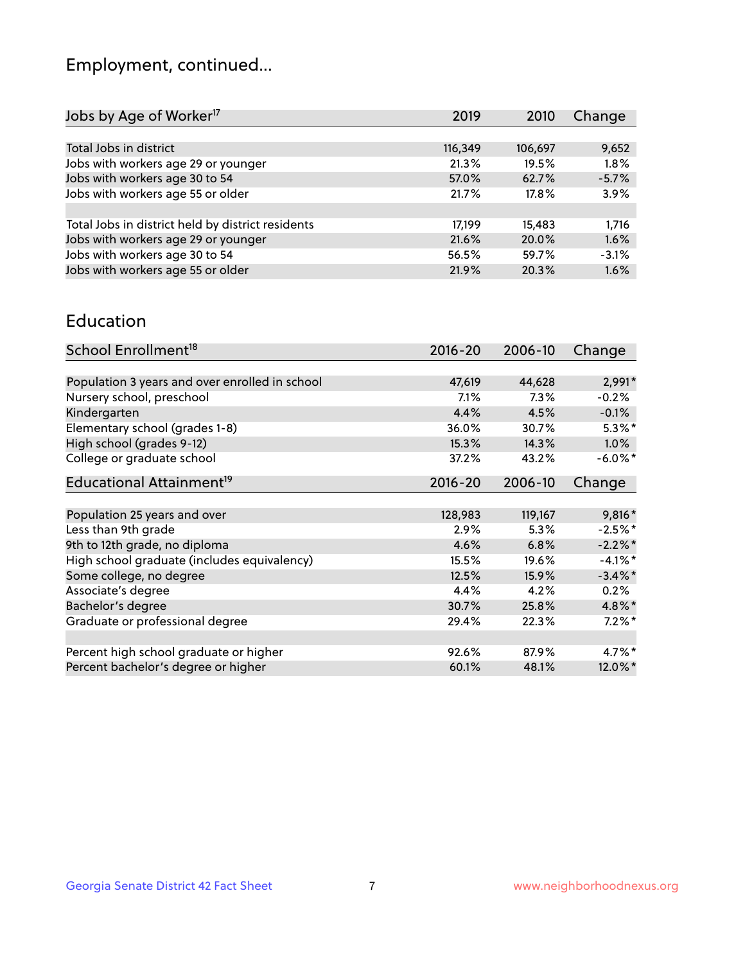## Employment, continued...

| Jobs by Age of Worker <sup>17</sup>               | 2019    | 2010    | Change  |
|---------------------------------------------------|---------|---------|---------|
|                                                   |         |         |         |
| Total Jobs in district                            | 116,349 | 106,697 | 9,652   |
| Jobs with workers age 29 or younger               | 21.3%   | 19.5%   | 1.8%    |
| Jobs with workers age 30 to 54                    | 57.0%   | 62.7%   | $-5.7%$ |
| Jobs with workers age 55 or older                 | 21.7%   | 17.8%   | 3.9%    |
|                                                   |         |         |         |
| Total Jobs in district held by district residents | 17,199  | 15,483  | 1.716   |
| Jobs with workers age 29 or younger               | 21.6%   | 20.0%   | 1.6%    |
| Jobs with workers age 30 to 54                    | 56.5%   | 59.7%   | $-3.1%$ |
| Jobs with workers age 55 or older                 | 21.9%   | 20.3%   | 1.6%    |
|                                                   |         |         |         |

#### Education

| School Enrollment <sup>18</sup>                | $2016 - 20$ | 2006-10 | Change     |
|------------------------------------------------|-------------|---------|------------|
|                                                |             |         |            |
| Population 3 years and over enrolled in school | 47,619      | 44,628  | 2,991*     |
| Nursery school, preschool                      | $7.1\%$     | 7.3%    | $-0.2%$    |
| Kindergarten                                   | 4.4%        | 4.5%    | $-0.1%$    |
| Elementary school (grades 1-8)                 | 36.0%       | 30.7%   | $5.3\%*$   |
| High school (grades 9-12)                      | 15.3%       | 14.3%   | $1.0\%$    |
| College or graduate school                     | 37.2%       | 43.2%   | $-6.0\%$ * |
| Educational Attainment <sup>19</sup>           | $2016 - 20$ | 2006-10 | Change     |
|                                                |             |         |            |
| Population 25 years and over                   | 128,983     | 119,167 | 9,816*     |
| Less than 9th grade                            | 2.9%        | 5.3%    | $-2.5%$ *  |
| 9th to 12th grade, no diploma                  | 4.6%        | 6.8%    | $-2.2%$ *  |
| High school graduate (includes equivalency)    | 15.5%       | 19.6%   | $-4.1%$ *  |
| Some college, no degree                        | 12.5%       | 15.9%   | $-3.4\%$ * |
| Associate's degree                             | 4.4%        | 4.2%    | 0.2%       |
| Bachelor's degree                              | 30.7%       | 25.8%   | $4.8\%$ *  |
| Graduate or professional degree                | 29.4%       | 22.3%   | $7.2\%$ *  |
|                                                |             |         | 4.7%*      |
| Percent high school graduate or higher         | 92.6%       | 87.9%   |            |
| Percent bachelor's degree or higher            | 60.1%       | 48.1%   | 12.0%*     |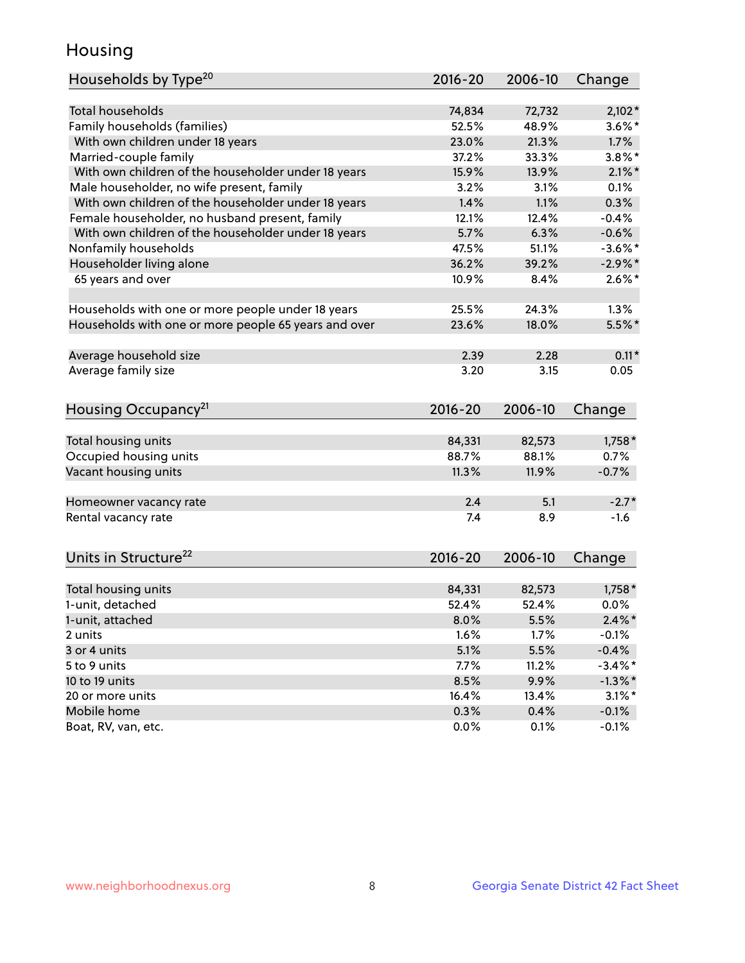## Housing

| Households by Type <sup>20</sup>                     | 2016-20 | 2006-10 | Change     |
|------------------------------------------------------|---------|---------|------------|
|                                                      |         |         |            |
| <b>Total households</b>                              | 74,834  | 72,732  | $2,102*$   |
| Family households (families)                         | 52.5%   | 48.9%   | $3.6\%$ *  |
| With own children under 18 years                     | 23.0%   | 21.3%   | 1.7%       |
| Married-couple family                                | 37.2%   | 33.3%   | $3.8\%$ *  |
| With own children of the householder under 18 years  | 15.9%   | 13.9%   | $2.1\%$ *  |
| Male householder, no wife present, family            | 3.2%    | 3.1%    | 0.1%       |
| With own children of the householder under 18 years  | 1.4%    | 1.1%    | 0.3%       |
| Female householder, no husband present, family       | 12.1%   | 12.4%   | $-0.4%$    |
| With own children of the householder under 18 years  | 5.7%    | 6.3%    | $-0.6%$    |
| Nonfamily households                                 | 47.5%   | 51.1%   | $-3.6\%$ * |
| Householder living alone                             | 36.2%   | 39.2%   | $-2.9\%$ * |
| 65 years and over                                    | 10.9%   | 8.4%    | $2.6\%$ *  |
|                                                      |         |         |            |
| Households with one or more people under 18 years    | 25.5%   | 24.3%   | 1.3%       |
| Households with one or more people 65 years and over | 23.6%   | 18.0%   | $5.5%$ *   |
|                                                      |         |         |            |
| Average household size                               | 2.39    | 2.28    | $0.11*$    |
| Average family size                                  | 3.20    | 3.15    | 0.05       |
| Housing Occupancy <sup>21</sup>                      | 2016-20 | 2006-10 | Change     |
|                                                      |         |         |            |
| Total housing units                                  | 84,331  | 82,573  | $1,758*$   |
| Occupied housing units                               | 88.7%   | 88.1%   | 0.7%       |
| Vacant housing units                                 | 11.3%   | 11.9%   | $-0.7%$    |
|                                                      |         |         |            |
| Homeowner vacancy rate                               | 2.4     | 5.1     | $-2.7*$    |
| Rental vacancy rate                                  | 7.4     | 8.9     | $-1.6$     |
|                                                      |         |         |            |
| Units in Structure <sup>22</sup>                     | 2016-20 | 2006-10 | Change     |
| Total housing units                                  | 84,331  | 82,573  | $1,758*$   |
| 1-unit, detached                                     | 52.4%   | 52.4%   | 0.0%       |
| 1-unit, attached                                     | 8.0%    | 5.5%    | $2.4\%$ *  |
| 2 units                                              | 1.6%    | 1.7%    | $-0.1%$    |
| 3 or 4 units                                         | 5.1%    | 5.5%    | $-0.4%$    |
| 5 to 9 units                                         |         |         | $-3.4\%$ * |
|                                                      | 7.7%    | 11.2%   |            |
| 10 to 19 units                                       | 8.5%    | 9.9%    | $-1.3\%$ * |
| 20 or more units                                     | 16.4%   | 13.4%   | $3.1\%$ *  |
| Mobile home                                          | 0.3%    | 0.4%    | $-0.1%$    |
| Boat, RV, van, etc.                                  | 0.0%    | 0.1%    | $-0.1%$    |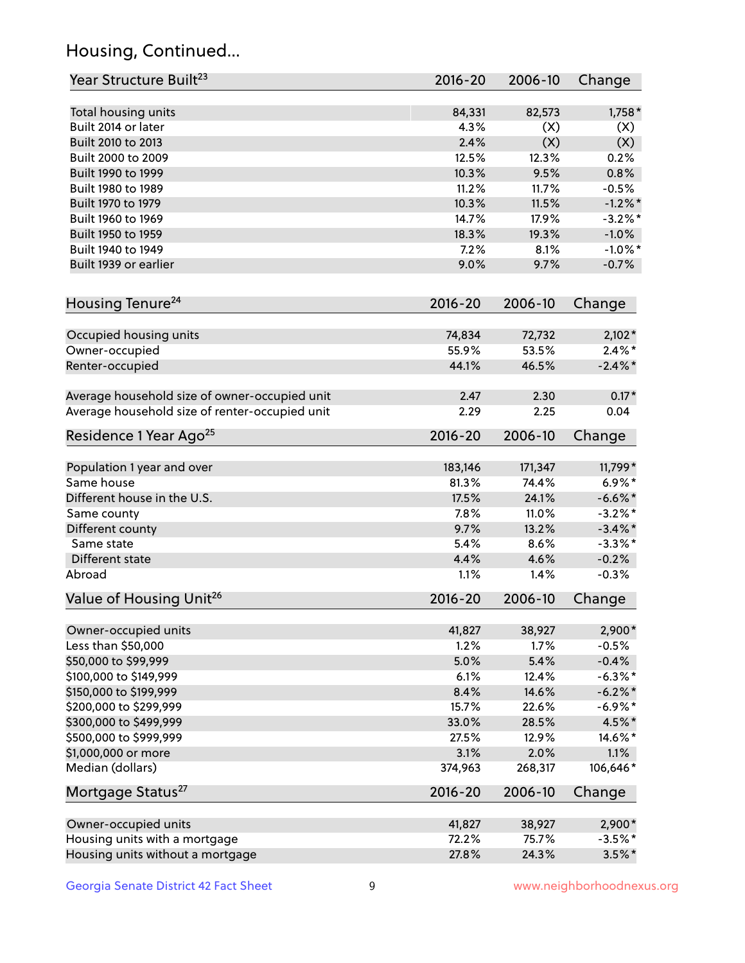## Housing, Continued...

| Year Structure Built <sup>23</sup>             | 2016-20     | 2006-10 | Change     |
|------------------------------------------------|-------------|---------|------------|
| Total housing units                            | 84,331      | 82,573  | 1,758 *    |
| Built 2014 or later                            | 4.3%        | (X)     | (X)        |
| Built 2010 to 2013                             | 2.4%        | (X)     | (X)        |
| Built 2000 to 2009                             | 12.5%       | 12.3%   | 0.2%       |
| Built 1990 to 1999                             | 10.3%       | 9.5%    | 0.8%       |
| Built 1980 to 1989                             | 11.2%       | 11.7%   | $-0.5%$    |
| Built 1970 to 1979                             | 10.3%       | 11.5%   | $-1.2\%$ * |
| Built 1960 to 1969                             | 14.7%       | 17.9%   | $-3.2\%$ * |
| Built 1950 to 1959                             | 18.3%       | 19.3%   | $-1.0%$    |
| Built 1940 to 1949                             | 7.2%        | 8.1%    | $-1.0\%$ * |
| Built 1939 or earlier                          | 9.0%        | 9.7%    | $-0.7%$    |
| Housing Tenure <sup>24</sup>                   | $2016 - 20$ | 2006-10 | Change     |
| Occupied housing units                         | 74,834      | 72,732  | $2,102*$   |
| Owner-occupied                                 | 55.9%       | 53.5%   | $2.4\%*$   |
| Renter-occupied                                | 44.1%       | 46.5%   | $-2.4\%$ * |
| Average household size of owner-occupied unit  | 2.47        | 2.30    | $0.17*$    |
| Average household size of renter-occupied unit | 2.29        | 2.25    | 0.04       |
| Residence 1 Year Ago <sup>25</sup>             | 2016-20     | 2006-10 | Change     |
| Population 1 year and over                     | 183,146     | 171,347 | 11,799*    |
| Same house                                     | 81.3%       | 74.4%   | $6.9\%*$   |
| Different house in the U.S.                    | 17.5%       | 24.1%   | $-6.6\%$ * |
| Same county                                    | 7.8%        | 11.0%   | $-3.2\%$ * |
| Different county                               | 9.7%        | 13.2%   | $-3.4\%$ * |
| Same state                                     | 5.4%        | 8.6%    | $-3.3\%$ * |
| Different state                                | 4.4%        | 4.6%    | $-0.2%$    |
| Abroad                                         | 1.1%        | 1.4%    | $-0.3%$    |
| Value of Housing Unit <sup>26</sup>            | $2016 - 20$ | 2006-10 | Change     |
| Owner-occupied units                           | 41,827      | 38,927  | 2,900*     |
| Less than \$50,000                             | 1.2%        | 1.7%    | $-0.5%$    |
| \$50,000 to \$99,999                           | 5.0%        | 5.4%    | $-0.4%$    |
| \$100,000 to \$149,999                         | 6.1%        | 12.4%   | $-6.3\%$ * |
| \$150,000 to \$199,999                         | 8.4%        | 14.6%   | $-6.2\%$ * |
| \$200,000 to \$299,999                         | 15.7%       | 22.6%   | $-6.9\%$ * |
| \$300,000 to \$499,999                         | 33.0%       | 28.5%   | 4.5%*      |
| \$500,000 to \$999,999                         | 27.5%       | 12.9%   | 14.6%*     |
| \$1,000,000 or more                            | 3.1%        | 2.0%    | 1.1%       |
| Median (dollars)                               | 374,963     | 268,317 | 106,646*   |
| Mortgage Status <sup>27</sup>                  | $2016 - 20$ | 2006-10 | Change     |
| Owner-occupied units                           | 41,827      | 38,927  | $2,900*$   |
| Housing units with a mortgage                  | 72.2%       | 75.7%   | $-3.5%$ *  |
| Housing units without a mortgage               | 27.8%       | 24.3%   | $3.5\%$ *  |
|                                                |             |         |            |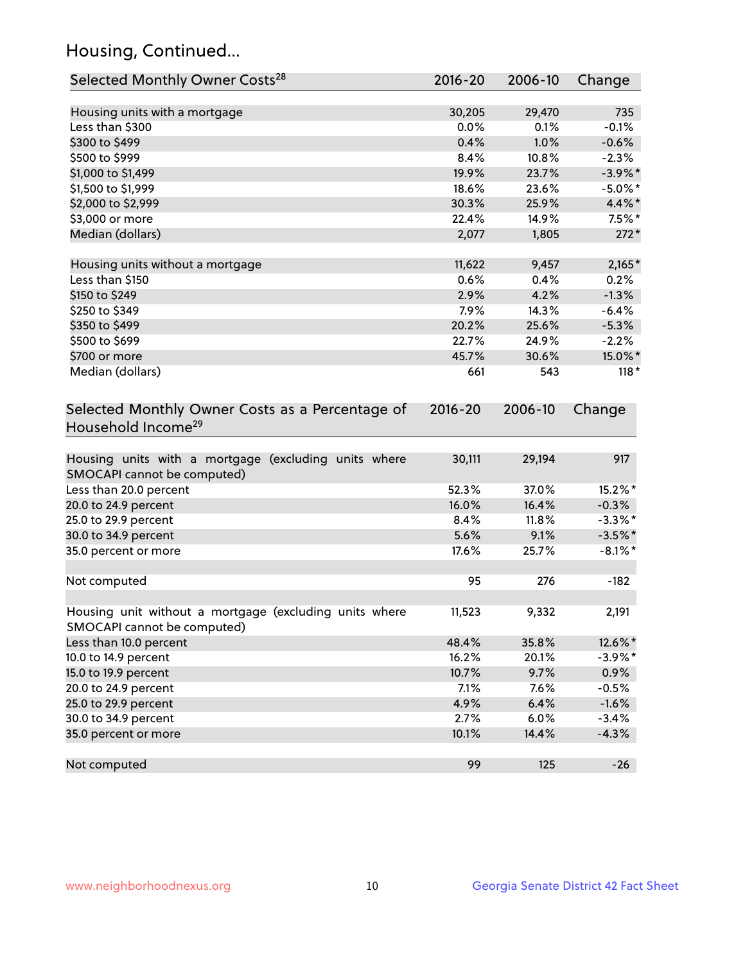## Housing, Continued...

| Selected Monthly Owner Costs <sup>28</sup>                                            | 2016-20     | 2006-10 | Change     |
|---------------------------------------------------------------------------------------|-------------|---------|------------|
| Housing units with a mortgage                                                         | 30,205      | 29,470  | 735        |
| Less than \$300                                                                       | 0.0%        | 0.1%    | $-0.1%$    |
| \$300 to \$499                                                                        | 0.4%        | 1.0%    | $-0.6%$    |
| \$500 to \$999                                                                        | 8.4%        | 10.8%   | $-2.3%$    |
| \$1,000 to \$1,499                                                                    | 19.9%       | 23.7%   | $-3.9\%$ * |
| \$1,500 to \$1,999                                                                    | 18.6%       | 23.6%   | $-5.0\%$ * |
| \$2,000 to \$2,999                                                                    | 30.3%       | 25.9%   | 4.4%*      |
| \$3,000 or more                                                                       | 22.4%       | 14.9%   | $7.5%$ *   |
| Median (dollars)                                                                      | 2,077       | 1,805   | $272*$     |
|                                                                                       |             |         |            |
| Housing units without a mortgage                                                      | 11,622      | 9,457   | $2,165*$   |
| Less than \$150                                                                       | 0.6%        | 0.4%    | 0.2%       |
| \$150 to \$249                                                                        | 2.9%        | 4.2%    | $-1.3%$    |
| \$250 to \$349                                                                        | 7.9%        | 14.3%   | $-6.4%$    |
| \$350 to \$499                                                                        | 20.2%       | 25.6%   | $-5.3%$    |
| \$500 to \$699                                                                        | 22.7%       | 24.9%   | $-2.2%$    |
| \$700 or more                                                                         | 45.7%       | 30.6%   | 15.0%*     |
| Median (dollars)                                                                      | 661         | 543     | $118*$     |
| Selected Monthly Owner Costs as a Percentage of<br>Household Income <sup>29</sup>     | $2016 - 20$ | 2006-10 | Change     |
| Housing units with a mortgage (excluding units where<br>SMOCAPI cannot be computed)   | 30,111      | 29,194  | 917        |
| Less than 20.0 percent                                                                | 52.3%       | 37.0%   | 15.2%*     |
| 20.0 to 24.9 percent                                                                  | 16.0%       | 16.4%   | $-0.3%$    |
| 25.0 to 29.9 percent                                                                  | 8.4%        | 11.8%   | $-3.3\%$ * |
| 30.0 to 34.9 percent                                                                  | 5.6%        | 9.1%    | $-3.5%$ *  |
| 35.0 percent or more                                                                  | 17.6%       | 25.7%   | $-8.1\%$ * |
| Not computed                                                                          | 95          | 276     | $-182$     |
| Housing unit without a mortgage (excluding units where<br>SMOCAPI cannot be computed) | 11,523      | 9,332   | 2,191      |
| Less than 10.0 percent                                                                | 48.4%       | 35.8%   | 12.6%*     |
| 10.0 to 14.9 percent                                                                  | 16.2%       | 20.1%   | $-3.9\%$ * |
| 15.0 to 19.9 percent                                                                  | 10.7%       | 9.7%    | 0.9%       |
| 20.0 to 24.9 percent                                                                  | 7.1%        | 7.6%    | $-0.5%$    |
| 25.0 to 29.9 percent                                                                  | 4.9%        | 6.4%    | $-1.6%$    |
| 30.0 to 34.9 percent                                                                  | 2.7%        | 6.0%    | $-3.4%$    |
| 35.0 percent or more                                                                  | 10.1%       | 14.4%   | $-4.3%$    |
| Not computed                                                                          | 99          | 125     | $-26$      |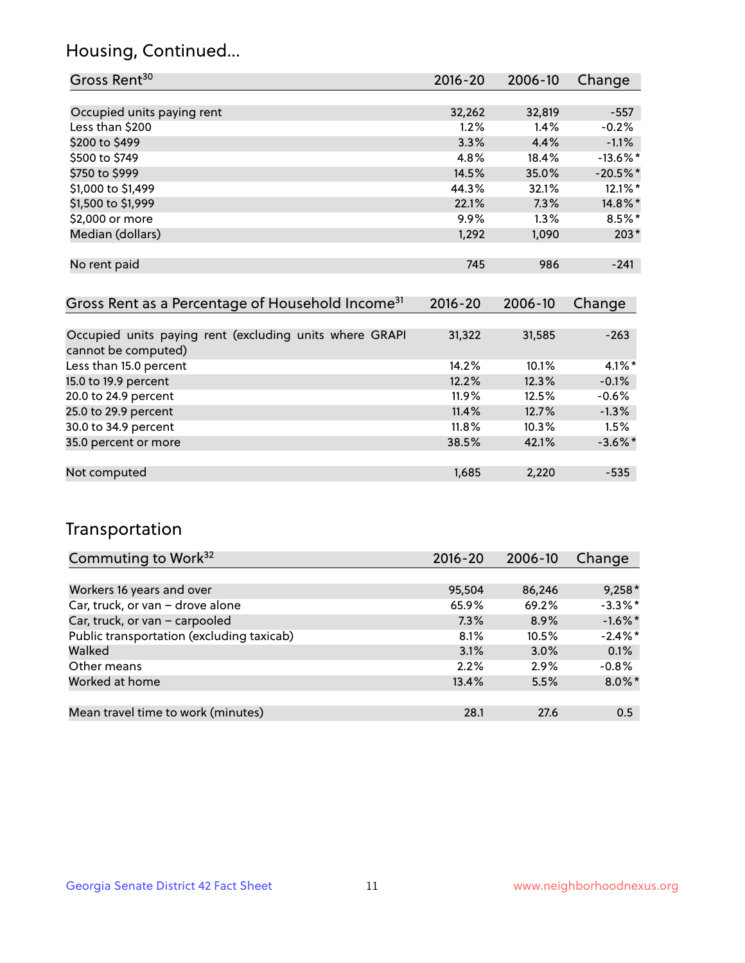## Housing, Continued...

| Gross Rent <sup>30</sup>   | 2016-20 | 2006-10 | Change      |
|----------------------------|---------|---------|-------------|
|                            |         |         |             |
| Occupied units paying rent | 32,262  | 32,819  | $-557$      |
| Less than \$200            | 1.2%    | 1.4%    | $-0.2%$     |
| \$200 to \$499             | 3.3%    | 4.4%    | $-1.1%$     |
| \$500 to \$749             | 4.8%    | 18.4%   | $-13.6\%$ * |
| \$750 to \$999             | 14.5%   | 35.0%   | $-20.5%$ *  |
| \$1,000 to \$1,499         | 44.3%   | 32.1%   | $12.1\%$ *  |
| \$1,500 to \$1,999         | 22.1%   | 7.3%    | 14.8%*      |
| \$2,000 or more            | 9.9%    | 1.3%    | $8.5%$ *    |
| Median (dollars)           | 1,292   | 1,090   | $203*$      |
|                            |         |         |             |
| No rent paid               | 745     | 986     | $-241$      |

| Gross Rent as a Percentage of Household Income <sup>31</sup>                   | $2016 - 20$ | 2006-10  | Change     |
|--------------------------------------------------------------------------------|-------------|----------|------------|
|                                                                                |             |          |            |
| Occupied units paying rent (excluding units where GRAPI<br>cannot be computed) | 31,322      | 31,585   | $-263$     |
| Less than 15.0 percent                                                         | 14.2%       | 10.1%    | $4.1\%$ *  |
| 15.0 to 19.9 percent                                                           | 12.2%       | 12.3%    | $-0.1%$    |
| 20.0 to 24.9 percent                                                           | $11.9\%$    | 12.5%    | $-0.6%$    |
| 25.0 to 29.9 percent                                                           | 11.4%       | 12.7%    | $-1.3%$    |
| 30.0 to 34.9 percent                                                           | $11.8\%$    | $10.3\%$ | 1.5%       |
| 35.0 percent or more                                                           | 38.5%       | 42.1%    | $-3.6\%$ * |
|                                                                                |             |          |            |
| Not computed                                                                   | 1,685       | 2,220    | $-535$     |

## Transportation

| Commuting to Work <sup>32</sup>           | 2016-20 | 2006-10 | Change     |
|-------------------------------------------|---------|---------|------------|
|                                           |         |         |            |
| Workers 16 years and over                 | 95,504  | 86,246  | $9,258*$   |
| Car, truck, or van - drove alone          | 65.9%   | 69.2%   | $-3.3%$ *  |
| Car, truck, or van - carpooled            | 7.3%    | 8.9%    | $-1.6\%$ * |
| Public transportation (excluding taxicab) | 8.1%    | 10.5%   | $-2.4\%$ * |
| Walked                                    | 3.1%    | 3.0%    | 0.1%       |
| Other means                               | 2.2%    | 2.9%    | $-0.8%$    |
| Worked at home                            | 13.4%   | 5.5%    | $8.0\%$ *  |
|                                           |         |         |            |
| Mean travel time to work (minutes)        | 28.1    | 27.6    | 0.5        |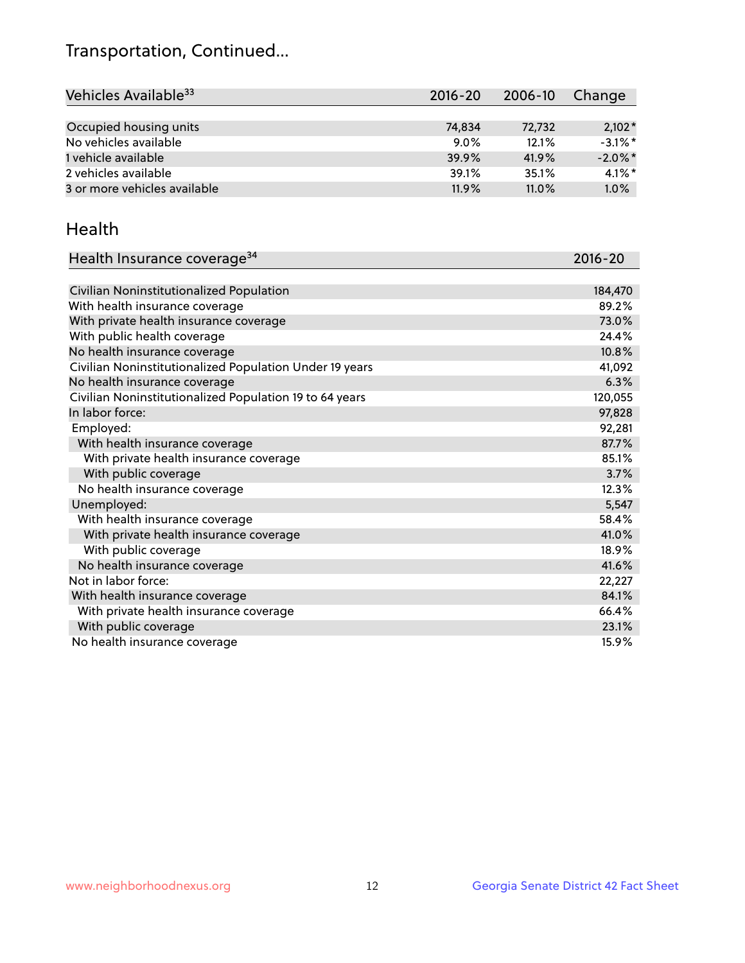## Transportation, Continued...

| Vehicles Available <sup>33</sup> | $2016 - 20$ | 2006-10 | Change     |
|----------------------------------|-------------|---------|------------|
|                                  |             |         |            |
| Occupied housing units           | 74,834      | 72,732  | $2,102*$   |
| No vehicles available            | $9.0\%$     | 12.1%   | $-3.1\%$ * |
| 1 vehicle available              | 39.9%       | 41.9%   | $-2.0\%$ * |
| 2 vehicles available             | 39.1%       | 35.1%   | $4.1\%$ *  |
| 3 or more vehicles available     | 11.9%       | 11.0%   | 1.0%       |

#### Health

| Health Insurance coverage <sup>34</sup>                 | 2016-20 |
|---------------------------------------------------------|---------|
|                                                         |         |
| Civilian Noninstitutionalized Population                | 184,470 |
| With health insurance coverage                          | 89.2%   |
| With private health insurance coverage                  | 73.0%   |
| With public health coverage                             | 24.4%   |
| No health insurance coverage                            | 10.8%   |
| Civilian Noninstitutionalized Population Under 19 years | 41,092  |
| No health insurance coverage                            | 6.3%    |
| Civilian Noninstitutionalized Population 19 to 64 years | 120,055 |
| In labor force:                                         | 97,828  |
| Employed:                                               | 92,281  |
| With health insurance coverage                          | 87.7%   |
| With private health insurance coverage                  | 85.1%   |
| With public coverage                                    | 3.7%    |
| No health insurance coverage                            | 12.3%   |
| Unemployed:                                             | 5,547   |
| With health insurance coverage                          | 58.4%   |
| With private health insurance coverage                  | 41.0%   |
| With public coverage                                    | 18.9%   |
| No health insurance coverage                            | 41.6%   |
| Not in labor force:                                     | 22,227  |
| With health insurance coverage                          | 84.1%   |
| With private health insurance coverage                  | 66.4%   |
| With public coverage                                    | 23.1%   |
| No health insurance coverage                            | 15.9%   |